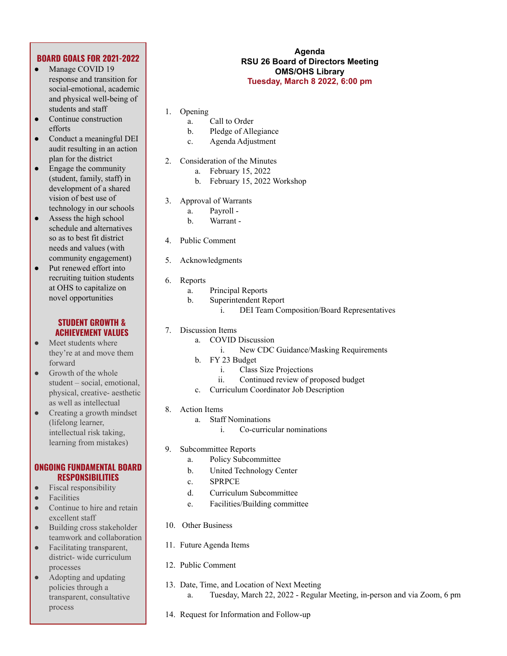# **BOARD GOALS FOR 2021-2022**

- Manage COVID 19 response and transition for social-emotional, academic and physical well-being of students and staff
- Continue construction efforts
- Conduct a meaningful DEI audit resulting in an action plan for the district
- Engage the community (student, family, staff) in development of a shared vision of best use of technology in our schools
- Assess the high school schedule and alternatives so as to best fit district needs and values (with community engagement)
- Put renewed effort into recruiting tuition students at OHS to capitalize on novel opportunities

## **STUDENT GROWTH & ACHIEVEMENT VALUES**

- Meet students where they're at and move them forward
- Growth of the whole student – social, emotional, physical, creative- aesthetic as well as intellectual
- Creating a growth mindset (lifelong learner, intellectual risk taking, learning from mistakes)

#### **ONGOING FUNDAMENTAL BOARD RESPONSIBILITIES**

- Fiscal responsibility
- **Facilities**
- Continue to hire and retain excellent staff
- Building cross stakeholder teamwork and collaboration
- Facilitating transparent, district- wide curriculum processes
- Adopting and updating policies through a transparent, consultative process

### **Agenda RSU 26 Board of Directors Meeting OMS/OHS Library Tuesday, March 8 2022, 6:00 pm**

- 1. Opening
	- a. Call to Order
	- b. Pledge of Allegiance
	- c. Agenda Adjustment
- 2. Consideration of the Minutes
	- a. February 15, 2022
		- b. February 15, 2022 Workshop
- 3. Approval of Warrants
	- a. Payroll -
	- b. Warrant -
- 4. Public Comment
- 5. Acknowledgments
- 6. Reports
	- a. Principal Reports
	- b. Superintendent Report
		- i. DEI Team Composition/Board Representatives
- 7. Discussion Items
	- a. COVID Discussion
		- i. New CDC Guidance/Masking Requirements
	- b. FY 23 Budget
		- i. Class Size Projections
		- ii. Continued review of proposed budget
	- c. Curriculum Coordinator Job Description
- 8. Action Items
	- a. Staff Nominations
		- i. Co-curricular nominations
- 9. Subcommittee Reports
	- a. Policy Subcommittee
	- b. United Technology Center
	- c. SPRPCE
	- d. Curriculum Subcommittee
	- e. Facilities/Building committee
- 10. Other Business
- 11. Future Agenda Items
- 12. Public Comment
- 13. Date, Time, and Location of Next Meeting a. Tuesday, March 22, 2022 - Regular Meeting, in-person and via Zoom, 6 pm
- 14. Request for Information and Follow-up